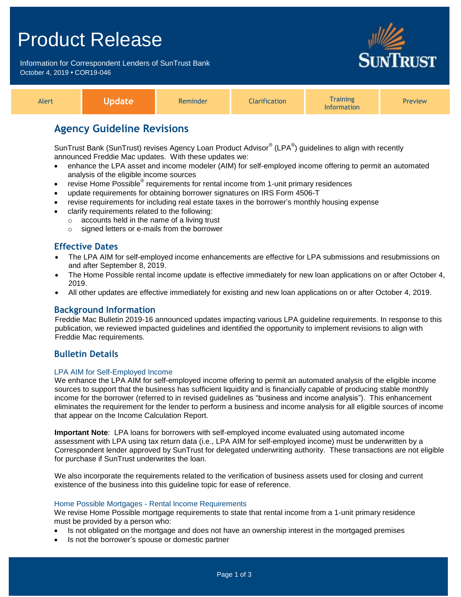# Product Release

Information for Correspondent Lenders of SunTrust Bank October 4, 2019 **•** COR19-046



| Alert |  | <b>Reminder</b> | <b>Iarification</b> | <b>Training</b><br>nformation | <b>Preview</b> |
|-------|--|-----------------|---------------------|-------------------------------|----------------|
|-------|--|-----------------|---------------------|-------------------------------|----------------|

# **Agency Guideline Revisions**

SunTrust Bank (SunTrust) revises Agency Loan Product Advisor® (LPA®) guidelines to align with recently announced Freddie Mac updates. With these updates we:

- enhance the LPA asset and income modeler (AIM) for self-employed income offering to permit an automated analysis of the eligible income sources
- revise Home Possible<sup>®</sup> requirements for rental income from 1-unit primary residences
- update requirements for obtaining borrower signatures on IRS Form 4506-T
- revise requirements for including real estate taxes in the borrower's monthly housing expense
- clarify requirements related to the following:
	- o accounts held in the name of a living trust
		- o signed letters or e-mails from the borrower

### **Effective Dates**

- The LPA AIM for self-employed income enhancements are effective for LPA submissions and resubmissions on and after September 8, 2019.
- The Home Possible rental income update is effective immediately for new loan applications on or after October 4, 2019.
- All other updates are effective immediately for existing and new loan applications on or after October 4, 2019.

#### **Background Information**

Freddie Mac Bulletin 2019-16 announced updates impacting various LPA guideline requirements. In response to this publication, we reviewed impacted guidelines and identified the opportunity to implement revisions to align with Freddie Mac requirements.

### **Bulletin Details**

#### LPA AIM for Self-Employed Income

We enhance the LPA AIM for self-employed income offering to permit an automated analysis of the eligible income sources to support that the business has sufficient liquidity and is financially capable of producing stable monthly income for the borrower (referred to in revised guidelines as "business and income analysis"). This enhancement eliminates the requirement for the lender to perform a business and income analysis for all eligible sources of income that appear on the Income Calculation Report.

**Important Note**: LPA loans for borrowers with self-employed income evaluated using automated income assessment with LPA using tax return data (i.e., LPA AIM for self-employed income) must be underwritten by a Correspondent lender approved by SunTrust for delegated underwriting authority. These transactions are not eligible for purchase if SunTrust underwrites the loan.

We also incorporate the requirements related to the verification of business assets used for closing and current existence of the business into this guideline topic for ease of reference.

#### Home Possible Mortgages - Rental Income Requirements

We revise Home Possible mortgage requirements to state that rental income from a 1-unit primary residence must be provided by a person who:

- Is not obligated on the mortgage and does not have an ownership interest in the mortgaged premises
- Is not the borrower's spouse or domestic partner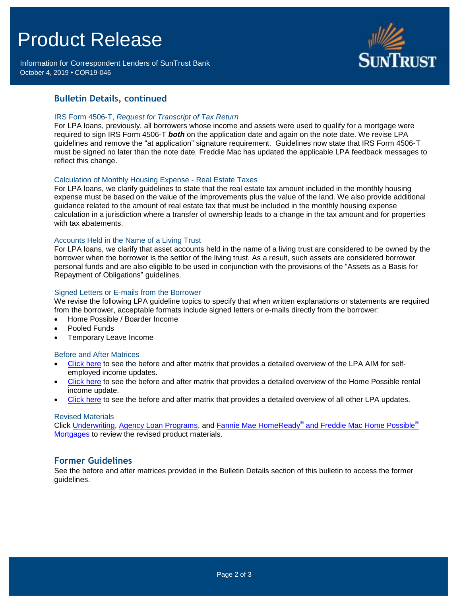# Product Release

Information for Correspondent Lenders of SunTrust Bank October 4, 2019 **•** COR19-046



## **Bulletin Details, continued**

#### IRS Form 4506-T, *Request for Transcript of Tax Return*

For LPA loans, previously, all borrowers whose income and assets were used to qualify for a mortgage were required to sign IRS Form 4506-T *both* on the application date and again on the note date. We revise LPA guidelines and remove the "at application" signature requirement. Guidelines now state that IRS Form 4506-T must be signed no later than the note date. Freddie Mac has updated the applicable LPA feedback messages to reflect this change.

#### Calculation of Monthly Housing Expense - Real Estate Taxes

For LPA loans, we clarify guidelines to state that the real estate tax amount included in the monthly housing expense must be based on the value of the improvements plus the value of the land. We also provide additional guidance related to the amount of real estate tax that must be included in the monthly housing expense calculation in a jurisdiction where a transfer of ownership leads to a change in the tax amount and for properties with tax abatements.

#### Accounts Held in the Name of a Living Trust

For LPA loans, we clarify that asset accounts held in the name of a living trust are considered to be owned by the borrower when the borrower is the settlor of the living trust. As a result, such assets are considered borrower personal funds and are also eligible to be used in conjunction with the provisions of the "Assets as a Basis for Repayment of Obligations" guidelines.

#### Signed Letters or E-mails from the Borrower

We revise the following LPA guideline topics to specify that when written explanations or statements are required from the borrower, acceptable formats include signed letters or e-mails directly from the borrower:

- Home Possible / Boarder Income
- Pooled Funds
- Temporary Leave Income

#### Before and After Matrices

- [Click here](http://www.truistsellerguide.com/manual/cor/products/Cr19-046BA-LPAAIM.pdf) to see the before and after matrix that provides a detailed overview of the LPA AIM for selfemployed income updates.
- [Click here](http://www.truistsellerguide.com/manual/cor/products/Cr19-046BA-New.pdf) to see the before and after matrix that provides a detailed overview of the Home Possible rental income update.
- [Click here](http://www.truistsellerguide.com/manual/cor/products/Cr19-046BA-Exist.pdf) to see the before and after matrix that provides a detailed overview of all other LPA updates.

#### Revised Materials

Click <u>[Underwriting,](https://www.truistsellerguide.com/Manual/cor/general/1.05Underwriting.pdf) [Agency Loan Programs,](https://www.truistsellerguide.com/manual/cor/products/CAgency.pdf)</u> and Fannie Mae HomeReady<sup>®</sup> [and Freddie Mac Home Possible](https://www.truistsellerguide.com/Manual/cor/products/CHomeReadyandHomePossible.pdf)<sup>®</sup> [Mortgages](https://www.truistsellerguide.com/Manual/cor/products/CHomeReadyandHomePossible.pdf) to review the revised product materials.

#### **Former Guidelines**

See the before and after matrices provided in the Bulletin Details section of this bulletin to access the former guidelines.